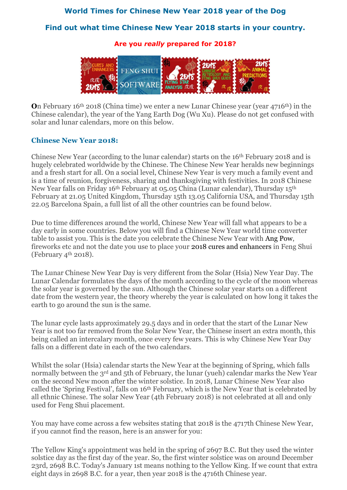### **World Times for Chinese New Year 2018 year of the Dog**

### **Find out what time Chinese New Year 2018 starts in your country.**

**Are you** *really* **prepared for 2018?**



**O**n February 16th 2018 (China time) we enter a new Lunar Chinese year (year 4716th) in the Chinese calendar), the year of the Yang Earth Dog (Wu Xu). Please do not get confused with solar and lunar calendars, more on this below.

#### **Chinese New Year 2018:**

Chinese New Year (according to the lunar calendar) starts on the 16th February 2018 and is hugely celebrated worldwide by the Chinese. The Chinese New Year heralds new beginnings and a fresh start for all. On a social level, Chinese New Year is very much a family event and is a time of reunion, forgiveness, sharing and thanksgiving with festivities. In 2018 Chinese New Year falls on Friday 16th February at 05.05 China (Lunar calendar), Thursday 15th February at 21.05 United Kingdom, Thursday 15th 13.05 California USA, and Thursday 15th 22.05 Barcelona Spain, a full list of all the other countries can be found below.

Due to time differences around the world, Chinese New Year will fall what appears to be a day early in some countries. Below you will find a Chinese New Year world time converter table to assist you. This is the date you celebrate the Chinese New Year with [Ang Pow,](http://www.fengshuiweb.co.uk/advice/angpow.htm) fireworks etc and not the date you use to place your 2018 [cures and enhancers](http://www.fengshuiweb.co.uk/shop/cures2018) in Feng Shui (February  $4^{\text{th}}$  2018).

The Lunar Chinese New Year Day is very different from the Solar (Hsia) New Year Day. The Lunar Calendar formulates the days of the month according to the cycle of the moon whereas the solar year is governed by the sun. Although the Chinese solar year starts on a different date from the western year, the theory whereby the year is calculated on how long it takes the earth to go around the sun is the same.

The lunar cycle lasts approximately 29.5 days and in order that the start of the Lunar New Year is not too far removed from the Solar New Year, the Chinese insert an extra month, this being called an intercalary month, once every few years. This is why Chinese New Year Day falls on a different date in each of the two calendars.

Whilst the solar (Hsia) calendar starts the New Year at the beginning of Spring, which falls normally between the 3<sup>rd</sup> and 5th of February, the lunar (yueh) calendar marks the New Year on the second New moon after the winter solstice. In 2018, Lunar Chinese New Year also called the 'Spring Festival', falls on 16th February, which is the New Year that is celebrated by all ethnic Chinese. The solar New Year (4th February 2018) is not celebrated at all and only used for Feng Shui placement.

You may have come across a few websites stating that 2018 is the 4717th Chinese New Year, if you cannot find the reason, here is an answer for you:

The Yellow King's appointment was held in the spring of 2697 B.C. But they used the winter solstice day as the first day of the year. So, the first winter solstice was on around December 23rd, 2698 B.C. Today's January 1st means nothing to the Yellow King. If we count that extra eight days in 2698 B.C. for a year, then year 2018 is the 4716th Chinese year.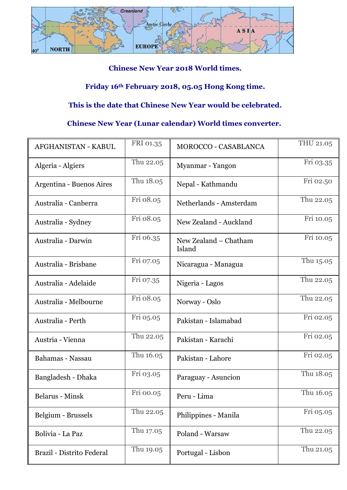

# **Chinese New Year 2018 World times.**

# **Friday 16th February 2018, 05.05 Hong Kong time.**

## **This is the date that Chinese New Year would be celebrated.**

## **Chinese New Year (Lunar calendar) World times converter.**

| AFGHANISTAN - KABUL       | FRI 01.35 | <b>MOROCCO - CASABLANCA</b>     | THU 21.05 |
|---------------------------|-----------|---------------------------------|-----------|
| Algeria - Algiers         | Thu 22.05 | Myanmar - Yangon                | Fri 03.35 |
| Argentina - Buenos Aires  | Thu 18.05 | Nepal - Kathmandu               | Fri 02.50 |
| Australia - Canberra      | Fri 08.05 | Netherlands - Amsterdam         | Thu 22.05 |
| Australia - Sydney        | Fri 08.05 | New Zealand - Auckland          | Fri 10.05 |
| Australia - Darwin        | Fri 06.35 | New Zealand - Chatham<br>Island | Fri 10.05 |
| Australia - Brisbane      | Fri 07.05 | Nicaragua - Managua             | Thu 15.05 |
| Australia - Adelaide      | Fri 07.35 | Nigeria - Lagos                 | Thu 22.05 |
| Australia - Melbourne     | Fri 08.05 | Norway - Oslo                   | Thu 22.05 |
| Australia - Perth         | Fri 05.05 | Pakistan - Islamabad            | Fri 02.05 |
| Austria - Vienna          | Thu 22.05 | Pakistan - Karachi              | Fri 02.05 |
| Bahamas - Nassau          | Thu 16.05 | Pakistan - Lahore               | Fri 02.05 |
| Bangladesh - Dhaka        | Fri 03.05 | Paraguay - Asuncion             | Thu 18.05 |
| Belarus - Minsk           | Fri 00.05 | Peru - Lima                     | Thu 16.05 |
| Belgium - Brussels        | Thu 22.05 | Philippines - Manila            | Fri 05.05 |
| Bolivia - La Paz          | Thu 17.05 | Poland - Warsaw                 | Thu 22.05 |
| Brazil - Distrito Federal | Thu 19.05 | Portugal - Lisbon               | Thu 21.05 |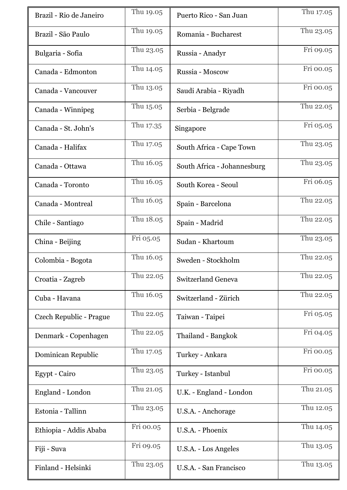| Brazil - Rio de Janeiro | Thu 19.05 | Puerto Rico - San Juan      | Thu 17.05 |
|-------------------------|-----------|-----------------------------|-----------|
| Brazil - São Paulo      | Thu 19.05 | Romania - Bucharest         | Thu 23.05 |
| Bulgaria - Sofia        | Thu 23.05 | Russia - Anadyr             | Fri 09.05 |
| Canada - Edmonton       | Thu 14.05 | Russia - Moscow             | Fri 00.05 |
| Canada - Vancouver      | Thu 13.05 | Saudi Arabia - Riyadh       | Fri 00.05 |
| Canada - Winnipeg       | Thu 15.05 | Serbia - Belgrade           | Thu 22.05 |
| Canada - St. John's     | Thu 17.35 | Singapore                   | Fri 05.05 |
| Canada - Halifax        | Thu 17.05 | South Africa - Cape Town    | Thu 23.05 |
| Canada - Ottawa         | Thu 16.05 | South Africa - Johannesburg | Thu 23.05 |
| Canada - Toronto        | Thu 16.05 | South Korea - Seoul         | Fri 06.05 |
| Canada - Montreal       | Thu 16.05 | Spain - Barcelona           | Thu 22.05 |
| Chile - Santiago        | Thu 18.05 | Spain - Madrid              | Thu 22.05 |
| China - Beijing         | Fri 05.05 | Sudan - Khartoum            | Thu 23.05 |
| Colombia - Bogota       | Thu 16.05 | Sweden - Stockholm          | Thu 22.05 |
| Croatia - Zagreb        | Thu 22.05 | <b>Switzerland Geneva</b>   | Thu 22.05 |
| Cuba - Havana           | Thu 16.05 | Switzerland - Zürich        | Thu 22.05 |
| Czech Republic - Prague | Thu 22.05 | Taiwan - Taipei             | Fri 05.05 |
| Denmark - Copenhagen    | Thu 22.05 | Thailand - Bangkok          | Fri 04.05 |
| Dominican Republic      | Thu 17.05 | Turkey - Ankara             | Fri 00.05 |
| Egypt - Cairo           | Thu 23.05 | Turkey - Istanbul           | Fri 00.05 |
| England - London        | Thu 21.05 | U.K. - England - London     | Thu 21.05 |
| Estonia - Tallinn       | Thu 23.05 | U.S.A. - Anchorage          | Thu 12.05 |
| Ethiopia - Addis Ababa  | Fri 00.05 | U.S.A. - Phoenix            | Thu 14.05 |
| Fiji - Suva             | Fri 09.05 | U.S.A. - Los Angeles        | Thu 13.05 |
| Finland - Helsinki      | Thu 23.05 | U.S.A. - San Francisco      | Thu 13.05 |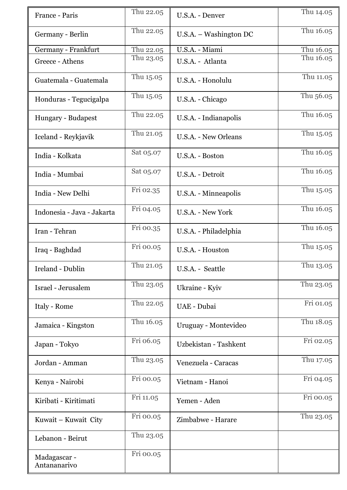| France - Paris               | Thu 22.05 | U.S.A. - Denver        | Thu 14.05 |
|------------------------------|-----------|------------------------|-----------|
| Germany - Berlin             | Thu 22.05 | U.S.A. – Washington DC | Thu 16.05 |
| Germany - Frankfurt          | Thu 22.05 | U.S.A. - Miami         | Thu 16.05 |
| Greece - Athens              | Thu 23.05 | U.S.A. - Atlanta       | Thu 16.05 |
| Guatemala - Guatemala        | Thu 15.05 | U.S.A. - Honolulu      | Thu 11.05 |
| Honduras - Tegucigalpa       | Thu 15.05 | U.S.A. - Chicago       | Thu 56.05 |
| Hungary - Budapest           | Thu 22.05 | U.S.A. - Indianapolis  | Thu 16.05 |
| Iceland - Reykjavik          | Thu 21.05 | U.S.A. - New Orleans   | Thu 15.05 |
| India - Kolkata              | Sat 05.07 | U.S.A. - Boston        | Thu 16.05 |
| India - Mumbai               | Sat 05.07 | U.S.A. - Detroit       | Thu 16.05 |
| India - New Delhi            | Fri 02.35 | U.S.A. - Minneapolis   | Thu 15.05 |
| Indonesia - Java - Jakarta   | Fri 04.05 | U.S.A. - New York      | Thu 16.05 |
| Iran - Tehran                | Fri 00.35 | U.S.A. - Philadelphia  | Thu 16.05 |
| Iraq - Baghdad               | Fri 00.05 | U.S.A. - Houston       | Thu 15.05 |
| Ireland - Dublin             | Thu 21.05 | U.S.A. - Seattle       | Thu 13.05 |
| Israel - Jerusalem           | Thu 23.05 | Ukraine - Kyiv         | Thu 23.05 |
| Italy - Rome                 | Thu 22.05 | UAE - Dubai            | Fri 01.05 |
| Jamaica - Kingston           | Thu 16.05 | Uruguay - Montevideo   | Thu 18.05 |
| Japan - Tokyo                | Fri 06.05 | Uzbekistan - Tashkent  | Fri 02.05 |
| Jordan - Amman               | Thu 23.05 | Venezuela - Caracas    | Thu 17.05 |
| Kenya - Nairobi              | Fri 00.05 | Vietnam - Hanoi        | Fri 04.05 |
| Kiribati - Kiritimati        | Fri 11.05 | Yemen - Aden           | Fri 00.05 |
| Kuwait – Kuwait City         | Fri 00.05 | Zimbabwe - Harare      | Thu 23.05 |
| Lebanon - Beirut             | Thu 23.05 |                        |           |
| Madagascar -<br>Antananarivo | Fri 00.05 |                        |           |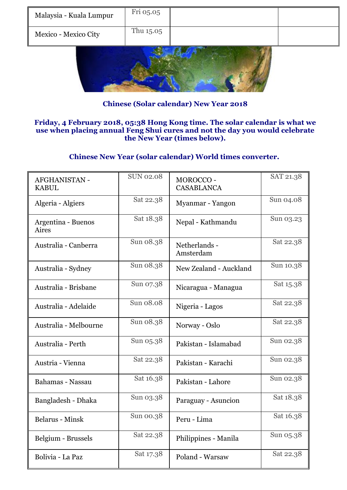| Malaysia - Kuala Lumpur | Fri 05.05 |  |
|-------------------------|-----------|--|
| Mexico - Mexico City    | Thu 15.05 |  |
|                         |           |  |

**Chinese (Solar calendar) New Year 2018**

### **Friday, 4 February 2018, 05:38 Hong Kong time. The solar calendar is what we use when placing annual Feng Shui cures and not the day you would celebrate the New Year (times below).**

### **Chinese New Year (solar calendar) World times converter.**

| <b>AFGHANISTAN -</b><br><b>KABUL</b> | <b>SUN 02.08</b> | MOROCCO-<br><b>CASABLANCA</b> | SAT 21.38 |
|--------------------------------------|------------------|-------------------------------|-----------|
| Algeria - Algiers                    | Sat 22.38        | Myanmar - Yangon              | Sun 04.08 |
| Argentina - Buenos<br>Aires          | Sat 18.38        | Nepal - Kathmandu             | Sun 03.23 |
| Australia - Canberra                 | Sun 08.38        | Netherlands -<br>Amsterdam    | Sat 22.38 |
| Australia - Sydney                   | Sun 08.38        | New Zealand - Auckland        | Sun 10.38 |
| Australia - Brisbane                 | Sun 07.38        | Nicaragua - Managua           | Sat 15.38 |
| Australia - Adelaide                 | Sun 08.08        | Nigeria - Lagos               | Sat 22.38 |
| Australia - Melbourne                | Sun 08.38        | Norway - Oslo                 | Sat 22.38 |
| Australia - Perth                    | Sun 05.38        | Pakistan - Islamabad          | Sun 02.38 |
| Austria - Vienna                     | Sat 22.38        | Pakistan - Karachi            | Sun 02.38 |
| Bahamas - Nassau                     | Sat 16.38        | Pakistan - Lahore             | Sun 02.38 |
| Bangladesh - Dhaka                   | Sun 03.38        | Paraguay - Asuncion           | Sat 18.38 |
| <b>Belarus - Minsk</b>               | Sun 00.38        | Peru - Lima                   | Sat 16.38 |
| Belgium - Brussels                   | Sat 22.38        | Philippines - Manila          | Sun 05.38 |
| Bolivia - La Paz                     | Sat 17.38        | Poland - Warsaw               | Sat 22.38 |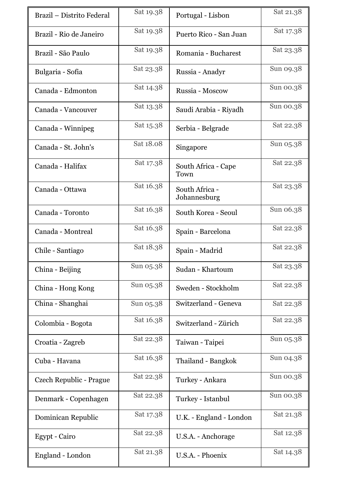| Brazil – Distrito Federal | Sat 19.38 | Portugal - Lisbon              | Sat 21.38 |
|---------------------------|-----------|--------------------------------|-----------|
| Brazil - Rio de Janeiro   | Sat 19.38 | Puerto Rico - San Juan         | Sat 17.38 |
| Brazil - São Paulo        | Sat 19.38 | Romania - Bucharest            | Sat 23.38 |
| Bulgaria - Sofia          | Sat 23.38 | Russia - Anadyr                | Sun 09.38 |
| Canada - Edmonton         | Sat 14.38 | Russia - Moscow                | Sun 00.38 |
| Canada - Vancouver        | Sat 13.38 | Saudi Arabia - Riyadh          | Sun 00.38 |
| Canada - Winnipeg         | Sat 15.38 | Serbia - Belgrade              | Sat 22.38 |
| Canada - St. John's       | Sat 18.08 | Singapore                      | Sun 05.38 |
| Canada - Halifax          | Sat 17.38 | South Africa - Cape<br>Town    | Sat 22.38 |
| Canada - Ottawa           | Sat 16.38 | South Africa -<br>Johannesburg | Sat 23.38 |
| Canada - Toronto          | Sat 16.38 | South Korea - Seoul            | Sun 06.38 |
| Canada - Montreal         | Sat 16.38 | Spain - Barcelona              | Sat 22.38 |
| Chile - Santiago          | Sat 18.38 | Spain - Madrid                 | Sat 22.38 |
| China - Beijing           | Sun 05.38 | Sudan - Khartoum               | Sat 23.38 |
| China - Hong Kong         | Sun 05.38 | Sweden - Stockholm             | Sat 22.38 |
| China - Shanghai          | Sun 05.38 | Switzerland - Geneva           | Sat 22.38 |
| Colombia - Bogota         | Sat 16.38 | Switzerland - Zürich           | Sat 22.38 |
| Croatia - Zagreb          | Sat 22.38 | Taiwan - Taipei                | Sun 05.38 |
| Cuba - Havana             | Sat 16.38 | Thailand - Bangkok             | Sun 04.38 |
| Czech Republic - Prague   | Sat 22.38 | Turkey - Ankara                | Sun 00.38 |
| Denmark - Copenhagen      | Sat 22.38 | Turkey - Istanbul              | Sun 00.38 |
| Dominican Republic        | Sat 17.38 | U.K. - England - London        | Sat 21.38 |
| Egypt - Cairo             | Sat 22.38 | U.S.A. - Anchorage             | Sat 12.38 |
| England - London          | Sat 21.38 | U.S.A. - Phoenix               | Sat 14.38 |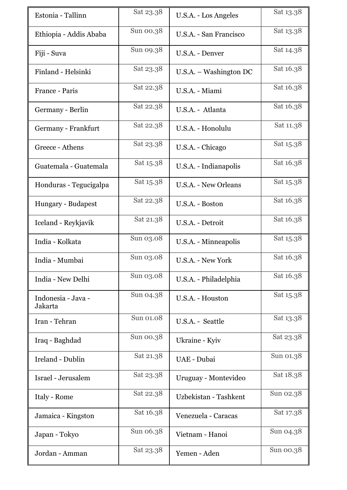| Estonia - Tallinn             | Sat 23.38 | U.S.A. - Los Angeles     | Sat 13.38 |
|-------------------------------|-----------|--------------------------|-----------|
| Ethiopia - Addis Ababa        | Sun 00.38 | U.S.A. - San Francisco   | Sat 13.38 |
| Fiji - Suva                   | Sun 09.38 | U.S.A. - Denver          | Sat 14.38 |
| Finland - Helsinki            | Sat 23.38 | $U.S.A. - Washington DC$ | Sat 16.38 |
| France - Paris                | Sat 22.38 | U.S.A. - Miami           | Sat 16.38 |
| Germany - Berlin              | Sat 22.38 | U.S.A. - Atlanta         | Sat 16.38 |
| Germany - Frankfurt           | Sat 22.38 | U.S.A. - Honolulu        | Sat 11.38 |
| Greece - Athens               | Sat 23.38 | U.S.A. - Chicago         | Sat 15.38 |
| Guatemala - Guatemala         | Sat 15.38 | U.S.A. - Indianapolis    | Sat 16.38 |
| Honduras - Tegucigalpa        | Sat 15.38 | U.S.A. - New Orleans     | Sat 15.38 |
| Hungary - Budapest            | Sat 22.38 | U.S.A. - Boston          | Sat 16.38 |
| Iceland - Reykjavik           | Sat 21.38 | U.S.A. - Detroit         | Sat 16.38 |
| India - Kolkata               | Sun 03.08 | U.S.A. - Minneapolis     | Sat 15.38 |
| India - Mumbai                | Sun 03.08 | U.S.A. - New York        | Sat 16.38 |
| India - New Delhi             | Sun 03.08 | U.S.A. - Philadelphia    | Sat 16.38 |
| Indonesia - Java -<br>Jakarta | Sun 04.38 | U.S.A. - Houston         | Sat 15.38 |
| Iran - Tehran                 | Sun 01.08 | U.S.A. - Seattle         | Sat 13.38 |
| Iraq - Baghdad                | Sun 00.38 | Ukraine - Kyiv           | Sat 23.38 |
| Ireland - Dublin              | Sat 21.38 | UAE - Dubai              | Sun 01.38 |
| Israel - Jerusalem            | Sat 23.38 | Uruguay - Montevideo     | Sat 18.38 |
| Italy - Rome                  | Sat 22.38 | Uzbekistan - Tashkent    | Sun 02.38 |
| Jamaica - Kingston            | Sat 16.38 | Venezuela - Caracas      | Sat 17.38 |
| Japan - Tokyo                 | Sun 06.38 | Vietnam - Hanoi          | Sun 04.38 |
| Jordan - Amman                | Sat 23.38 | Yemen - Aden             | Sun 00.38 |